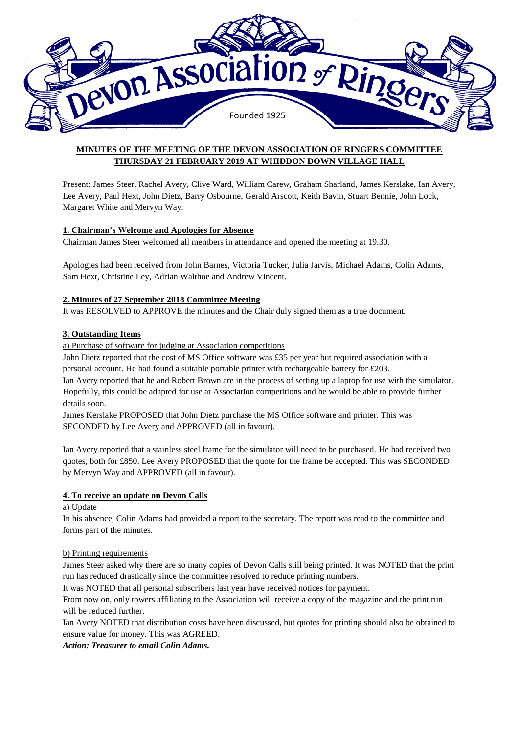

# **MINUTES OF THE MEETING OF THE DEVON ASSOCIATION OF RINGERS COMMITTEE THURSDAY 21 FEBRUARY 2019 AT WHIDDON DOWN VILLAGE HALL**

Present: James Steer, Rachel Avery, Clive Ward, William Carew, Graham Sharland, James Kerslake, Ian Avery, Lee Avery, Paul Hext, John Dietz, Barry Osbourne, Gerald Arscott, Keith Bavin, Stuart Bennie, John Lock, Margaret White and Mervyn Way.

## **1. Chairman's Welcome and Apologies for Absence**

Chairman James Steer welcomed all members in attendance and opened the meeting at 19.30.

Apologies had been received from John Barnes, Victoria Tucker, Julia Jarvis, Michael Adams, Colin Adams, Sam Hext, Christine Ley, Adrian Walthoe and Andrew Vincent.

#### **2. Minutes of 27 September 2018 Committee Meeting**

It was RESOLVED to APPROVE the minutes and the Chair duly signed them as a true document.

## **3. Outstanding Items**

a) Purchase of software for judging at Association competitions

John Dietz reported that the cost of MS Office software was £35 per year but required association with a personal account. He had found a suitable portable printer with rechargeable battery for £203. Ian Avery reported that he and Robert Brown are in the process of setting up a laptop for use with the simulator. Hopefully, this could be adapted for use at Association competitions and he would be able to provide further details soon.

James Kerslake PROPOSED that John Dietz purchase the MS Office software and printer. This was SECONDED by Lee Avery and APPROVED (all in favour).

Ian Avery reported that a stainless steel frame for the simulator will need to be purchased. He had received two quotes, both for £850. Lee Avery PROPOSED that the quote for the frame be accepted. This was SECONDED by Mervyn Way and APPROVED (all in favour).

# **4. To receive an update on Devon Calls**

a) Update

In his absence, Colin Adams had provided a report to the secretary. The report was read to the committee and forms part of the minutes.

#### b) Printing requirements

James Steer asked why there are so many copies of Devon Calls still being printed. It was NOTED that the print run has reduced drastically since the committee resolved to reduce printing numbers.

It was NOTED that all personal subscribers last year have received notices for payment.

From now on, only towers affiliating to the Association will receive a copy of the magazine and the print run will be reduced further.

Ian Avery NOTED that distribution costs have been discussed, but quotes for printing should also be obtained to ensure value for money. This was AGREED.

*Action: Treasurer to email Colin Adams.*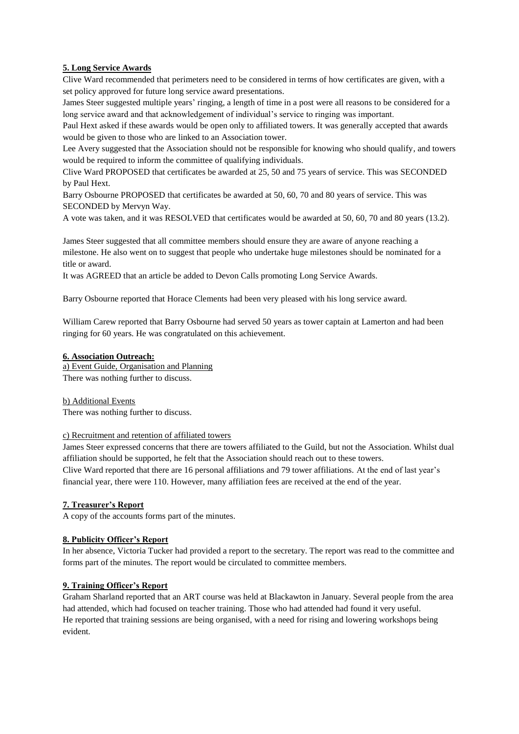### **5. Long Service Awards**

Clive Ward recommended that perimeters need to be considered in terms of how certificates are given, with a set policy approved for future long service award presentations.

James Steer suggested multiple years' ringing, a length of time in a post were all reasons to be considered for a long service award and that acknowledgement of individual's service to ringing was important.

Paul Hext asked if these awards would be open only to affiliated towers. It was generally accepted that awards would be given to those who are linked to an Association tower.

Lee Avery suggested that the Association should not be responsible for knowing who should qualify, and towers would be required to inform the committee of qualifying individuals.

Clive Ward PROPOSED that certificates be awarded at 25, 50 and 75 years of service. This was SECONDED by Paul Hext.

Barry Osbourne PROPOSED that certificates be awarded at 50, 60, 70 and 80 years of service. This was SECONDED by Mervyn Way.

A vote was taken, and it was RESOLVED that certificates would be awarded at 50, 60, 70 and 80 years (13.2).

James Steer suggested that all committee members should ensure they are aware of anyone reaching a milestone. He also went on to suggest that people who undertake huge milestones should be nominated for a title or award.

It was AGREED that an article be added to Devon Calls promoting Long Service Awards.

Barry Osbourne reported that Horace Clements had been very pleased with his long service award.

William Carew reported that Barry Osbourne had served 50 years as tower captain at Lamerton and had been ringing for 60 years. He was congratulated on this achievement.

#### **6. Association Outreach:**

a) Event Guide, Organisation and Planning There was nothing further to discuss.

b) Additional Events There was nothing further to discuss.

#### c) Recruitment and retention of affiliated towers

James Steer expressed concerns that there are towers affiliated to the Guild, but not the Association. Whilst dual affiliation should be supported, he felt that the Association should reach out to these towers. Clive Ward reported that there are 16 personal affiliations and 79 tower affiliations. At the end of last year's financial year, there were 110. However, many affiliation fees are received at the end of the year.

#### **7. Treasurer's Report**

A copy of the accounts forms part of the minutes.

### **8. Publicity Officer's Report**

In her absence, Victoria Tucker had provided a report to the secretary. The report was read to the committee and forms part of the minutes. The report would be circulated to committee members.

### **9. Training Officer's Report**

Graham Sharland reported that an ART course was held at Blackawton in January. Several people from the area had attended, which had focused on teacher training. Those who had attended had found it very useful. He reported that training sessions are being organised, with a need for rising and lowering workshops being evident.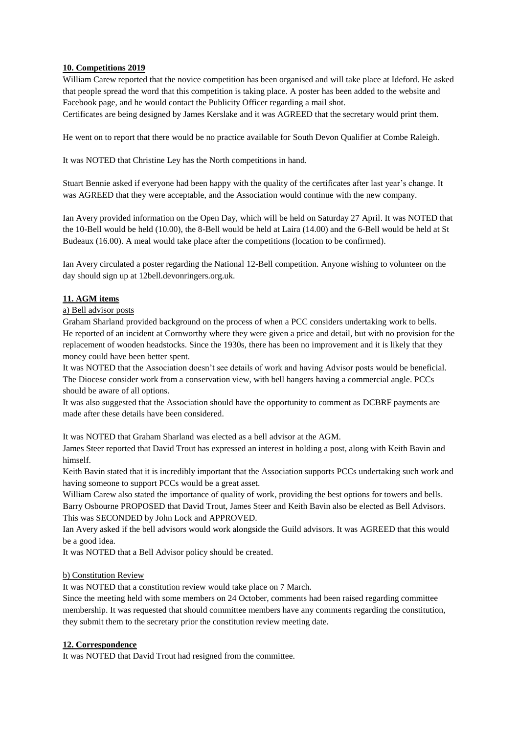## **10. Competitions 2019**

William Carew reported that the novice competition has been organised and will take place at Ideford. He asked that people spread the word that this competition is taking place. A poster has been added to the website and Facebook page, and he would contact the Publicity Officer regarding a mail shot.

Certificates are being designed by James Kerslake and it was AGREED that the secretary would print them.

He went on to report that there would be no practice available for South Devon Qualifier at Combe Raleigh.

It was NOTED that Christine Ley has the North competitions in hand.

Stuart Bennie asked if everyone had been happy with the quality of the certificates after last year's change. It was AGREED that they were acceptable, and the Association would continue with the new company.

Ian Avery provided information on the Open Day, which will be held on Saturday 27 April. It was NOTED that the 10-Bell would be held (10.00), the 8-Bell would be held at Laira (14.00) and the 6-Bell would be held at St Budeaux (16.00). A meal would take place after the competitions (location to be confirmed).

Ian Avery circulated a poster regarding the National 12-Bell competition. Anyone wishing to volunteer on the day should sign up at 12bell.devonringers.org.uk.

# **11. AGM items**

#### a) Bell advisor posts

Graham Sharland provided background on the process of when a PCC considers undertaking work to bells. He reported of an incident at Cornworthy where they were given a price and detail, but with no provision for the replacement of wooden headstocks. Since the 1930s, there has been no improvement and it is likely that they money could have been better spent.

It was NOTED that the Association doesn't see details of work and having Advisor posts would be beneficial. The Diocese consider work from a conservation view, with bell hangers having a commercial angle. PCCs should be aware of all options.

It was also suggested that the Association should have the opportunity to comment as DCBRF payments are made after these details have been considered.

It was NOTED that Graham Sharland was elected as a bell advisor at the AGM.

James Steer reported that David Trout has expressed an interest in holding a post, along with Keith Bavin and himself.

Keith Bavin stated that it is incredibly important that the Association supports PCCs undertaking such work and having someone to support PCCs would be a great asset.

William Carew also stated the importance of quality of work, providing the best options for towers and bells. Barry Osbourne PROPOSED that David Trout, James Steer and Keith Bavin also be elected as Bell Advisors. This was SECONDED by John Lock and APPROVED.

Ian Avery asked if the bell advisors would work alongside the Guild advisors. It was AGREED that this would be a good idea.

It was NOTED that a Bell Advisor policy should be created.

#### b) Constitution Review

It was NOTED that a constitution review would take place on 7 March.

Since the meeting held with some members on 24 October, comments had been raised regarding committee membership. It was requested that should committee members have any comments regarding the constitution, they submit them to the secretary prior the constitution review meeting date.

#### **12. Correspondence**

It was NOTED that David Trout had resigned from the committee.